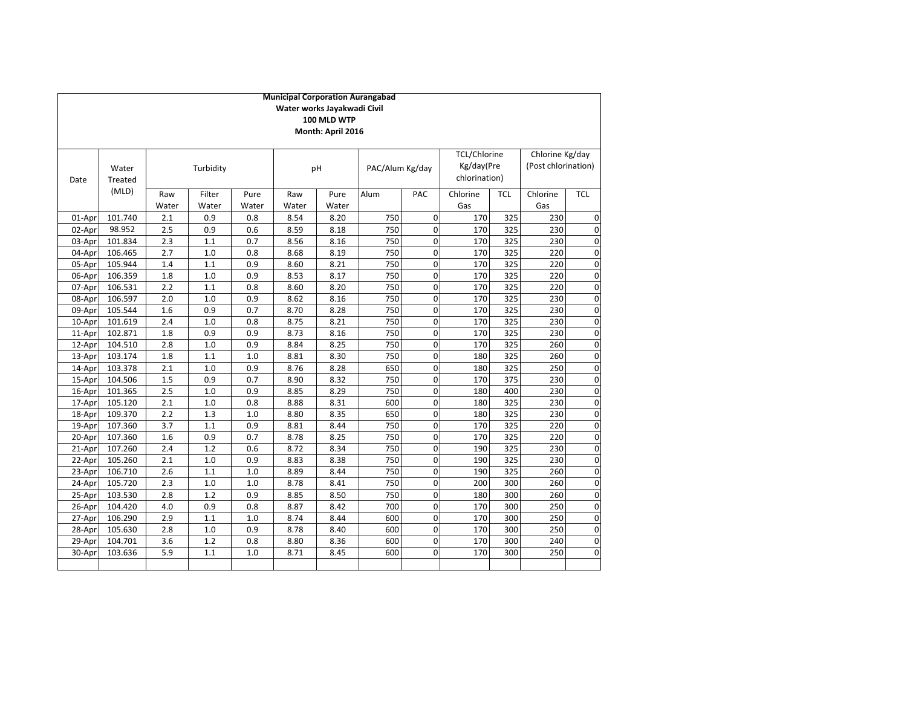|        | <b>Municipal Corporation Aurangabad</b><br>Water works Jayakwadi Civil |       |           |       |       |                   |                 |             |                     |            |                     |              |
|--------|------------------------------------------------------------------------|-------|-----------|-------|-------|-------------------|-----------------|-------------|---------------------|------------|---------------------|--------------|
|        |                                                                        |       |           |       |       |                   |                 |             |                     |            |                     |              |
|        |                                                                        |       |           |       |       | 100 MLD WTP       |                 |             |                     |            |                     |              |
|        |                                                                        |       |           |       |       | Month: April 2016 |                 |             |                     |            |                     |              |
|        |                                                                        |       |           |       |       |                   |                 |             | <b>TCL/Chlorine</b> |            | Chlorine Kg/day     |              |
|        | Water                                                                  |       | Turbidity |       |       | pH                | PAC/Alum Kg/day |             | Kg/day(Pre          |            | (Post chlorination) |              |
| Date   | Treated                                                                |       |           |       |       |                   |                 |             | chlorination)       |            |                     |              |
|        | (MLD)                                                                  |       |           |       |       |                   |                 |             |                     |            |                     |              |
|        |                                                                        | Raw   | Filter    | Pure  | Raw   | Pure              | Alum            | PAC         | Chlorine            | <b>TCL</b> | Chlorine            | <b>TCL</b>   |
|        |                                                                        | Water | Water     | Water | Water | Water             |                 |             | Gas                 |            | Gas                 |              |
| 01-Apr | 101.740                                                                | 2.1   | 0.9       | 0.8   | 8.54  | 8.20              | 750             | 0           | 170                 | 325        | 230                 | C            |
| 02-Apr | 98.952                                                                 | 2.5   | 0.9       | 0.6   | 8.59  | 8.18              | 750             | $\mathbf 0$ | 170                 | 325        | 230                 | C            |
| 03-Apr | 101.834                                                                | 2.3   | 1.1       | 0.7   | 8.56  | 8.16              | 750             | $\mathbf 0$ | 170                 | 325        | 230                 | C            |
| 04-Apr | 106.465                                                                | 2.7   | 1.0       | 0.8   | 8.68  | 8.19              | 750             | 0           | 170                 | 325        | 220                 | C            |
| 05-Apr | 105.944                                                                | 1.4   | 1.1       | 0.9   | 8.60  | 8.21              | 750             | 0           | 170                 | 325        | 220                 | C            |
| 06-Apr | 106.359                                                                | 1.8   | 1.0       | 0.9   | 8.53  | 8.17              | 750             | 0           | 170                 | 325        | 220                 | C            |
| 07-Apr | 106.531                                                                | 2.2   | 1.1       | 0.8   | 8.60  | 8.20              | 750             | $\mathbf 0$ | 170                 | 325        | 220                 | $\mathsf{C}$ |
| 08-Apr | 106.597                                                                | 2.0   | 1.0       | 0.9   | 8.62  | 8.16              | 750             | $\mathbf 0$ | 170                 | 325        | 230                 | C            |
| 09-Apr | 105.544                                                                | 1.6   | 0.9       | 0.7   | 8.70  | 8.28              | 750             | 0           | 170                 | 325        | 230                 | C            |
| 10-Apr | 101.619                                                                | 2.4   | 1.0       | 0.8   | 8.75  | 8.21              | 750             | 0           | 170                 | 325        | 230                 | C            |
| 11-Apr | 102.871                                                                | 1.8   | 0.9       | 0.9   | 8.73  | 8.16              | 750             | 0           | 170                 | 325        | 230                 | C            |
| 12-Apr | 104.510                                                                | 2.8   | 1.0       | 0.9   | 8.84  | 8.25              | 750             | $\mathbf 0$ | 170                 | 325        | 260                 | C            |
| 13-Apr | 103.174                                                                | 1.8   | 1.1       | 1.0   | 8.81  | 8.30              | 750             | $\mathbf 0$ | 180                 | 325        | 260                 | C            |
| 14-Apr | 103.378                                                                | 2.1   | 1.0       | 0.9   | 8.76  | 8.28              | 650             | $\mathbf 0$ | 180                 | 325        | 250                 | C            |
| 15-Apr | 104.506                                                                | 1.5   | 0.9       | 0.7   | 8.90  | 8.32              | 750             | 0           | 170                 | 375        | 230                 | C            |
| 16-Apr | 101.365                                                                | 2.5   | 1.0       | 0.9   | 8.85  | 8.29              | 750             | $\mathbf 0$ | 180                 | 400        | 230                 | C            |
| 17-Apr | 105.120                                                                | 2.1   | 1.0       | 0.8   | 8.88  | 8.31              | 600             | $\mathbf 0$ | 180                 | 325        | 230                 | C            |
| 18-Apr | 109.370                                                                | 2.2   | 1.3       | 1.0   | 8.80  | 8.35              | 650             | $\pmb{0}$   | 180                 | 325        | 230                 | C            |
| 19-Apr | 107.360                                                                | 3.7   | 1.1       | 0.9   | 8.81  | 8.44              | 750             | $\pmb{0}$   | 170                 | 325        | 220                 | C            |
| 20-Apr | 107.360                                                                | 1.6   | 0.9       | 0.7   | 8.78  | 8.25              | 750             | $\mathbf 0$ | 170                 | 325        | 220                 | C            |
| 21-Apr | 107.260                                                                | 2.4   | 1.2       | 0.6   | 8.72  | 8.34              | 750             | $\mathbf 0$ | 190                 | 325        | 230                 | C            |
| 22-Apr | 105.260                                                                | 2.1   | 1.0       | 0.9   | 8.83  | 8.38              | 750             | $\mathbf 0$ | 190                 | 325        | 230                 | C            |
| 23-Apr | 106.710                                                                | 2.6   | 1.1       | 1.0   | 8.89  | 8.44              | 750             | $\pmb{0}$   | 190                 | 325        | 260                 | C            |
| 24-Apr | 105.720                                                                | 2.3   | 1.0       | 1.0   | 8.78  | 8.41              | 750             | 0           | 200                 | 300        | 260                 | C            |
| 25-Apr | 103.530                                                                | 2.8   | 1.2       | 0.9   | 8.85  | 8.50              | 750             | $\mathbf 0$ | 180                 | 300        | 260                 | C            |
| 26-Apr | 104.420                                                                | 4.0   | 0.9       | 0.8   | 8.87  | 8.42              | 700             | $\mathbf 0$ | 170                 | 300        | 250                 | C            |
| 27-Apr | 106.290                                                                | 2.9   | 1.1       | 1.0   | 8.74  | 8.44              | 600             | $\mathbf 0$ | 170                 | 300        | 250                 | C            |
| 28-Apr | 105.630                                                                | 2.8   | 1.0       | 0.9   | 8.78  | 8.40              | 600             | 0           | 170                 | 300        | 250                 | C            |
| 29-Apr | 104.701                                                                | 3.6   | 1.2       | 0.8   | 8.80  | 8.36              | 600             | $\mathbf 0$ | 170                 | 300        | 240                 | C            |
| 30-Apr | 103.636                                                                | 5.9   | 1.1       | 1.0   | 8.71  | 8.45              | 600             | 0           | 170                 | 300        | 250                 | C            |
|        |                                                                        |       |           |       |       |                   |                 |             |                     |            |                     |              |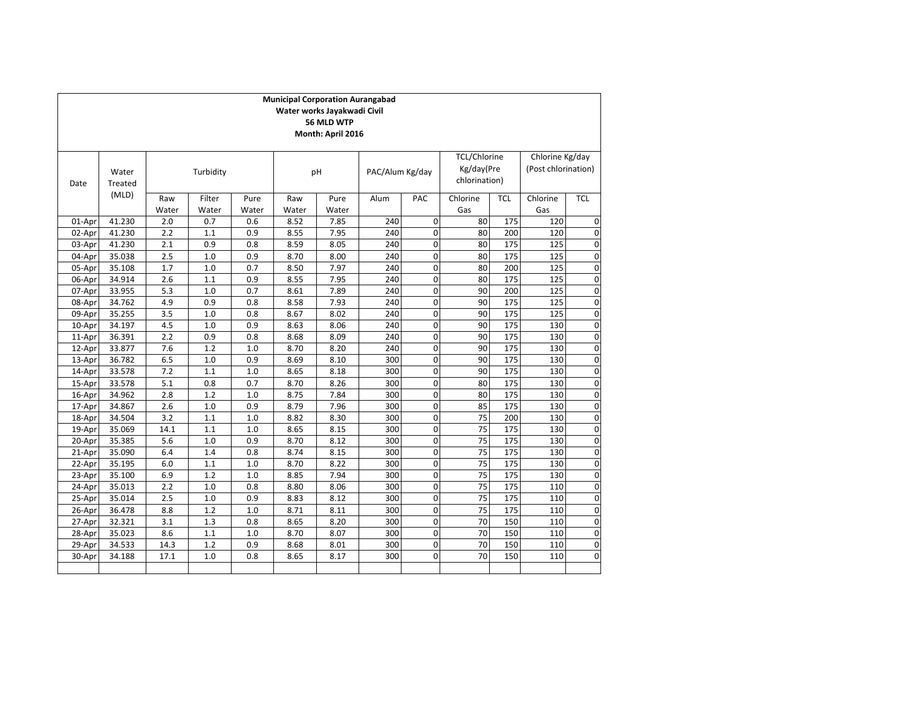|        |                  |              |                 |               | <b>Municipal Corporation Aurangabad</b> | Water works Jayakwadi Civil<br>56 MLD WTP<br>Month: April 2016 |                 |                |                                                    |            |                                        |             |
|--------|------------------|--------------|-----------------|---------------|-----------------------------------------|----------------------------------------------------------------|-----------------|----------------|----------------------------------------------------|------------|----------------------------------------|-------------|
| Date   | Water<br>Treated |              | Turbidity       |               |                                         | pH                                                             | PAC/Alum Kg/day |                | <b>TCL/Chlorine</b><br>Kg/day(Pre<br>chlorination) |            | Chlorine Kg/day<br>(Post chlorination) |             |
| (MLD)  |                  | Raw<br>Water | Filter<br>Water | Pure<br>Water | Raw<br>Water                            | Pure<br>Water                                                  | Alum            | PAC            | Chlorine<br>Gas                                    | <b>TCL</b> | Chlorine<br>Gas                        | <b>TCL</b>  |
| 01-Apr | 41.230           | 2.0          | 0.7             | 0.6           | 8.52                                    | 7.85                                                           | 240             | $\mathbf 0$    | 80                                                 | 175        | 120                                    | 0           |
| 02-Apr | 41.230           | 2.2          | 1.1             | 0.9           | 8.55                                    | 7.95                                                           | 240             | $\mathbf{0}$   | 80                                                 | 200        | 120                                    | $\mathbf 0$ |
| 03-Apr | 41.230           | 2.1          | 0.9             | 0.8           | 8.59                                    | 8.05                                                           | 240             | 0              | 80                                                 | 175        | 125                                    | 0           |
| 04-Apr | 35.038           | 2.5          | 1.0             | 0.9           | 8.70                                    | 8.00                                                           | 240             | $\mathbf 0$    | 80                                                 | 175        | 125                                    | 0           |
| 05-Apr | 35.108           | 1.7          | 1.0             | 0.7           | 8.50                                    | 7.97                                                           | 240             | $\mathbf 0$    | 80                                                 | 200        | 125                                    | $\mathbf 0$ |
| 06-Apr | 34.914           | 2.6          | 1.1             | 0.9           | 8.55                                    | 7.95                                                           | 240             | $\mathbf 0$    | 80                                                 | 175        | 125                                    | $\mathbf 0$ |
| 07-Apr | 33.955           | 5.3          | 1.0             | 0.7           | 8.61                                    | 7.89                                                           | 240             | 0              | 90                                                 | 200        | 125                                    | 0           |
| 08-Apr | 34.762           | 4.9          | 0.9             | 0.8           | 8.58                                    | 7.93                                                           | 240             | $\mathbf 0$    | 90                                                 | 175        | 125                                    | $\mathbf 0$ |
| 09-Apr | 35.255           | 3.5          | 1.0             | 0.8           | 8.67                                    | 8.02                                                           | 240             | $\mathbf 0$    | 90                                                 | 175        | 125                                    | $\mathbf 0$ |
| 10-Apr | 34.197           | 4.5          | 1.0             | 0.9           | 8.63                                    | 8.06                                                           | 240             | 0              | 90                                                 | 175        | 130                                    | $\mathbf 0$ |
| 11-Apr | 36.391           | 2.2          | 0.9             | 0.8           | 8.68                                    | 8.09                                                           | 240             | 0              | 90                                                 | 175        | 130                                    | $\mathbf 0$ |
| 12-Apr | 33.877           | 7.6          | 1.2             | 1.0           | 8.70                                    | 8.20                                                           | 240             | 0              | 90                                                 | 175        | 130                                    | 0           |
| 13-Apr | 36.782           | 6.5          | 1.0             | 0.9           | 8.69                                    | 8.10                                                           | 300             | $\mathbf 0$    | 90                                                 | 175        | 130                                    | $\mathbf 0$ |
| 14-Apr | 33.578           | 7.2          | 1.1             | 1.0           | 8.65                                    | 8.18                                                           | 300             | $\mathbf 0$    | 90                                                 | 175        | 130                                    | $\mathbf 0$ |
| 15-Apr | 33.578           | 5.1          | 0.8             | 0.7           | 8.70                                    | 8.26                                                           | 300             | $\mathbf 0$    | 80                                                 | 175        | 130                                    | 0           |
| 16-Apr | 34.962           | 2.8          | 1.2             | 1.0           | 8.75                                    | 7.84                                                           | 300             | $\mathbf 0$    | 80                                                 | 175        | 130                                    | 0           |
| 17-Apr | 34.867           | 2.6          | 1.0             | 0.9           | 8.79                                    | 7.96                                                           | 300             | $\mathbf 0$    | 85                                                 | 175        | 130                                    | $\mathbf 0$ |
| 18-Apr | 34.504           | 3.2          | 1.1             | 1.0           | 8.82                                    | 8.30                                                           | 300             | 0              | 75                                                 | 200        | 130                                    | 0           |
| 19-Apr | 35.069           | 14.1         | 1.1             | 1.0           | 8.65                                    | 8.15                                                           | 300             | 0              | 75                                                 | 175        | 130                                    | 0           |
| 20-Apr | 35.385           | 5.6          | 1.0             | 0.9           | 8.70                                    | 8.12                                                           | 300             | $\overline{0}$ | 75                                                 | 175        | 130                                    | $\mathbf 0$ |
| 21-Apr | 35.090           | 6.4          | 1.4             | 0.8           | 8.74                                    | 8.15                                                           | 300             | $\mathbf 0$    | 75                                                 | 175        | 130                                    | 0           |
| 22-Apr | 35.195           | 6.0          | 1.1             | 1.0           | 8.70                                    | 8.22                                                           | 300             | $\mathbf 0$    | 75                                                 | 175        | 130                                    | $\mathbf 0$ |
| 23-Apr | 35.100           | 6.9          | 1.2             | 1.0           | 8.85                                    | 7.94                                                           | 300             | $\pmb{0}$      | 75                                                 | 175        | 130                                    | $\mathbf 0$ |
| 24-Apr | 35.013           | 2.2          | 1.0             | 0.8           | 8.80                                    | 8.06                                                           | 300             | 0              | 75                                                 | 175        | 110                                    | 0           |
| 25-Apr | 35.014           | 2.5          | 1.0             | 0.9           | 8.83                                    | 8.12                                                           | 300             | 0              | 75                                                 | 175        | 110                                    | $\mathbf 0$ |
| 26-Apr | 36.478           | 8.8          | 1.2             | 1.0           | 8.71                                    | 8.11                                                           | 300             | $\pmb{0}$      | 75                                                 | 175        | 110                                    | $\mathbf 0$ |
| 27-Apr | 32.321           | 3.1          | 1.3             | 0.8           | 8.65                                    | 8.20                                                           | 300             | $\mathbf 0$    | 70                                                 | 150        | 110                                    | 0           |
| 28-Apr | 35.023           | 8.6          | 1.1             | 1.0           | 8.70                                    | 8.07                                                           | 300             | 0              | 70                                                 | 150        | 110                                    | 0           |
| 29-Apr | 34.533           | 14.3         | 1.2             | 0.9           | 8.68                                    | 8.01                                                           | 300             | 0              | 70                                                 | 150        | 110                                    | $\mathbf 0$ |
| 30-Apr | 34.188           | 17.1         | 1.0             | 0.8           | 8.65                                    | 8.17                                                           | 300             | 0              | 70                                                 | 150        | 110                                    | 0           |
|        |                  |              |                 |               |                                         |                                                                |                 |                |                                                    |            |                                        |             |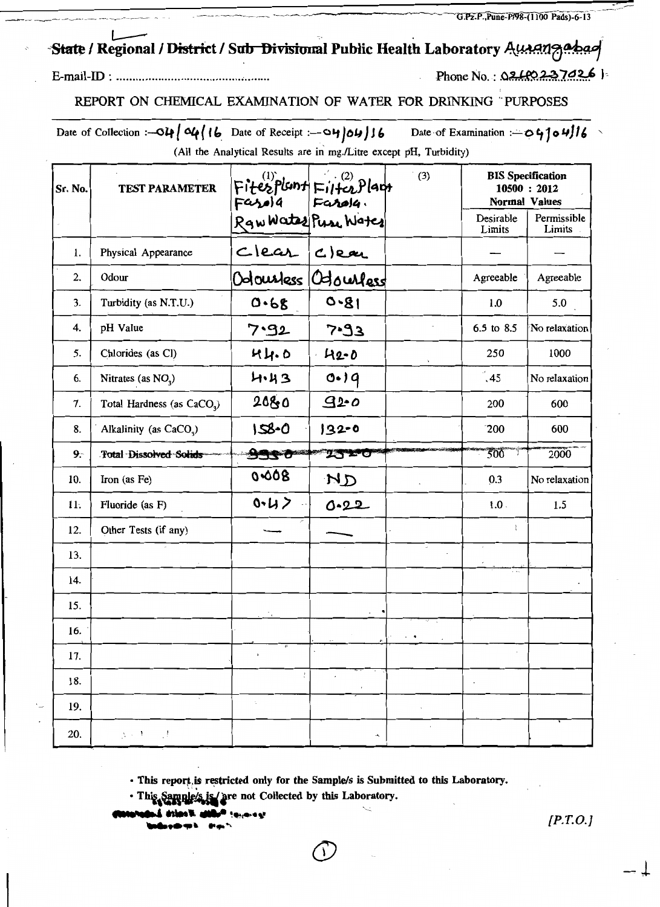G.Pz.P., Pune-P/98-(1100 Pads)-6-13

## State / Regional / District / Sub Divisional Public Health Laboratory Ausanzabas

Phone No.:  $0.26237026$  |

REPORT ON CHEMICAL EXAMINATION OF WATER FOR DRINKING PURPOSES

Date of Collection :-  $O\mu$  |  $O\mu$  | 16 Date of Receipt :-  $O\mu$  |  $O\mu$  | 16 Date of Examination :- 04104/16 (All the Analytical Results are in mg./Litre except pH, Turbidity)

| Sr. No. | <b>TEST PARAMETER</b>                         | Fitesplant Filterplant<br>Fasola Farola<br>RawWates Puse Water |                        | (3)        | <b>Normal Values</b><br>Desirable | <b>BIS Specification</b><br>10500 : 2012<br>Permissible |
|---------|-----------------------------------------------|----------------------------------------------------------------|------------------------|------------|-----------------------------------|---------------------------------------------------------|
|         |                                               |                                                                |                        |            | Limits                            | Limits                                                  |
| 1.      | Physical Appearance                           |                                                                |                        |            |                                   |                                                         |
| 2.      | Odour                                         |                                                                | Odoustess Odousless    |            | Agreeable                         | Agreeable                                               |
| 3.      | Turbidity (as N.T.U.)                         | 0.68                                                           | $0 - 81$               |            | 1.0                               | 5.0                                                     |
| 4.      | pH Value                                      | 7.92                                                           | $5 - 93$               |            | 6.5 to 8.5                        | No relaxation                                           |
| 5.      | Chlorides (as Cl)                             | 44.0                                                           | $42 - 0$               |            | 250                               | 1000                                                    |
| 6.      | Nitrates (as $NO_3$ )                         | 4.43                                                           | 0.19                   |            | $\left(45\right)$                 | No relaxation                                           |
| 7.      | Total Hardness (as CaCO <sub>3</sub> )        | 2080                                                           | 920                    |            | 200                               | 600                                                     |
| 8.      | Alkalinity (as CaCO <sub>2</sub> )            | $158 - 0$                                                      | $132 - 0$              |            | 200                               | 600                                                     |
| $9 -$   | <b>Total Dissolved Solids</b>                 | 9930                                                           | <b>2520</b>            |            | 500                               | 2000                                                    |
| 10.     | Iron (as Fe)                                  | 0.008                                                          | ND                     |            | 0.3                               | No relaxation                                           |
| 11.     | Fluoride (as F)                               | 0.42                                                           | 0.22                   |            | $1.0$ .                           | 1.5                                                     |
| 12.     | Other Tests (if any)                          |                                                                |                        |            | ł                                 |                                                         |
| 13.     |                                               |                                                                |                        |            |                                   |                                                         |
| 14.     |                                               |                                                                |                        |            | .                                 |                                                         |
| 15.     |                                               |                                                                |                        |            |                                   |                                                         |
| 16.     |                                               |                                                                |                        |            |                                   |                                                         |
| 17.     |                                               | $\blacktriangleright$                                          |                        |            |                                   |                                                         |
| 18.     |                                               | ÷                                                              | $\cdot$                |            |                                   |                                                         |
| 19.     |                                               | $\cdot$                                                        |                        | ×,         |                                   |                                                         |
| 20.     | $\mathbf{y} \in \mathcal{Y} \cup \mathcal{Y}$ |                                                                | $\boldsymbol{\lambda}$ | $\epsilon$ |                                   |                                                         |

· This report is restricted only for the Sample/s is Submitted to this Laboratory.

· This Sample's is are not Collected by this Laboratory.

a al

 $[P.T.O.]$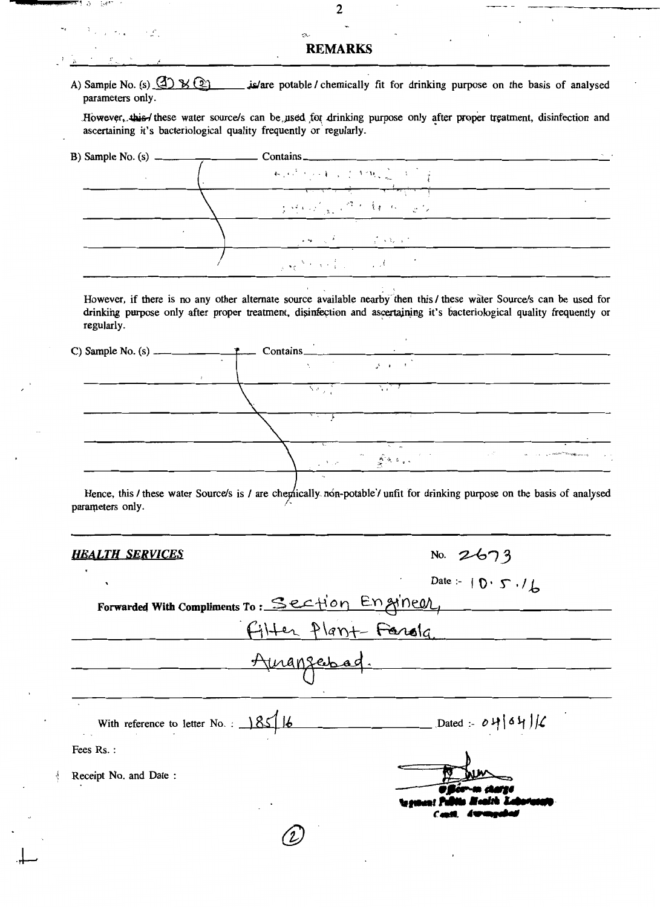#### **REMARKS**

A) Sample No. (s)  $\bigoplus$   $\mathcal{Y}(\mathfrak{D})$ is/are potable/ chemically fit for drinking purpose on the basis of analysed parameters only.

However, this / these water source/s can be used for drinking purpose only after proper treatment, disinfection and ascertaining it's bacteriological quality frequently or regularly.

| B) Sample No. $(s)$ $-$ | $\text{contains}_{-}$                                                                                                                                                 | $\mathcal{H}^{\pm}$ . |
|-------------------------|-----------------------------------------------------------------------------------------------------------------------------------------------------------------------|-----------------------|
|                         | 网络马耳曼 网络之间的                                                                                                                                                           |                       |
|                         | THE STATE RESIDENCE                                                                                                                                                   |                       |
|                         | $\mathcal{L}(\mathbf{S}) = \mathcal{L}(\mathbf{S}^T) = \mathcal{L}(\mathbf{S}^T) = \mathcal{L}(\mathbf{S}^T) = \mathcal{L}(\mathbf{S}^T) = \mathcal{L}(\mathbf{S}^T)$ |                       |
|                         | and the second contract of the second                                                                                                                                 |                       |

However, if there is no any other alternate source available nearby then this/these water Source/s can be used for drinking purpose only after proper treatment, disinfection and ascertaining it's bacteriological quality frequently or regularly.

Contains C) Sample No.  $(s)$   $\mathbf{A}$ ਜ Na ji  $\mathbb{Z}^{2n}$ and a complete the  $\sqrt{2}$  ,  $\alpha$  ,  $\beta$ 

Hence, this / these water Source/s is / are chemically non-potable / unfit for drinking purpose on the basis of analysed parameters only.

No.  $2673$ 

### **HEALTH SERVICES**

1 a **SAMP** 

 $\dddot{\phantom{0}}$ 

 $\sim$   $\omega^{\prime\prime}$  .

|                                                 | Date :- $\{0, 5, 7\}$ |
|-------------------------------------------------|-----------------------|
| Forwarded With Compliments To: Section Engineer |                       |
| Filter Plant-Farala                             |                       |
| Amanzerbad.                                     |                       |
|                                                 |                       |
| With reference to letter No. : $385/6$          | $-$ Dated : 04/04/6   |
| Fees Rs.:                                       |                       |
| Receipt No. and Date:                           |                       |
|                                                 |                       |
|                                                 |                       |

 $\overline{2}$ 

 $\overline{\phantom{a}}$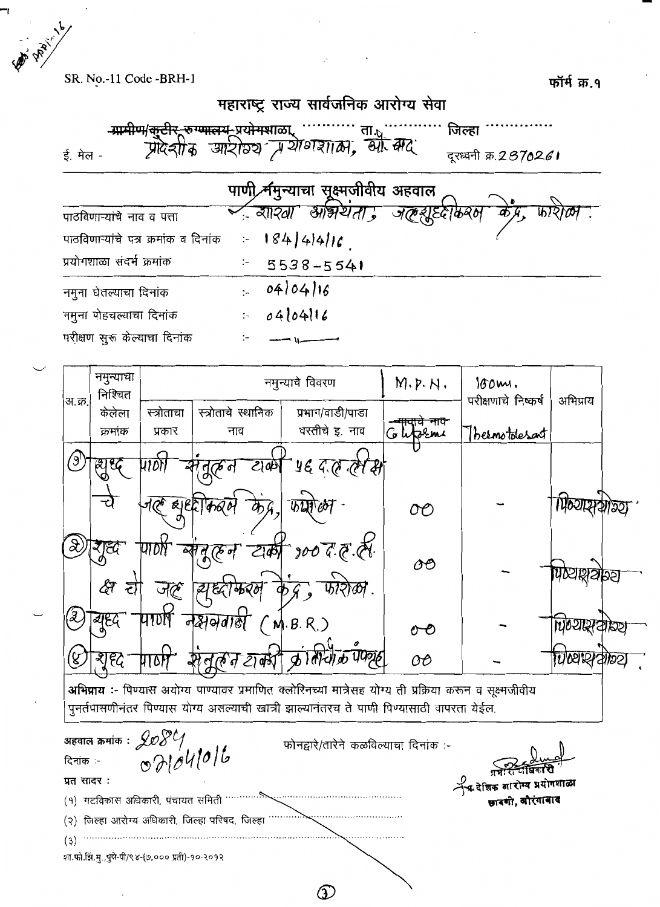A Prairies SR. No.-11 Code -BRH-1 फॉर्म क्र.१ महाराष्ट्र राज्य सार्वजनिक आरोग्य सेवा -<del>ग्रामीण/कूटीर\_रुग्णालय\_</del>प्रयोगशाळा जिल्हा ' <u> आर्ट्राठ्य में योगशाल, बी. क्येंद्र </u> दरध्वनी क्र.2370261 ई. मेल -पाणी र्नमच्याचा सुक्ष्मजीवीय अहवाल ब्रास्वा <u>आभयता :</u> पाठविणाऱ्यांचे नाव व पत्ता  $18444416$ पाठविणाऱ्यांचे पत्र क्रमांक व दिनांक  $\sim$ प्रयोगशाळा संदर्भ क्रमांक 5538-5541  $\div$  $040416$ नमुना घेतल्याचा दिनांक  $\ddot{\phantom{a}}$ नमूना पोहचल्याचा दिनांक  $04104116$  $\ddot{z}$ परीक्षण सुरू केल्याचा दिनांक  $\ddot{\phantom{a}}$ नमुन्याचा नमुन्याचे विवरण  $M.P.H.$  $180m$ . निश्चित परीक्षणाचे निष्कर्ष अभिप्राय अ.क्र. स्त्रोताचे स्थानिक प्रभाग/वाडी/पाडा केलेला स्त्रोताचा <del>ग़चे नाव</del> वस्तीचे इ. नाव क्रमांक प्रकार नाव Glitzemi bernotolesant  $\bigcirc$ ध्युद्ध 41D) ZI ab ye G ती कि पिष्यासक्षोत्रर  $\overline{wh}$  $O<sub>O</sub>$ शृह्य ক্ট.কু.<br>ক  $\left( \mathbf{\hat{z}}\right)$ पाठा 2াষ্ঠ oo **पोप्याश्लर्था** २२ ঞ্জ হা **tof**. जल **RADO** युध्द '2 पाणा नक्षमग्रहा  $M.B.R.)$ **NOSILA** oO TUWR (४) शृह्द म्यतम्य ठाव hion OО अभिप्राय :- पिण्यास अयोग्य पाण्यावर प्रमाणित क्लोरिनच्या मात्रेसह योग्य ती प्रक्रिया करून व सूक्ष्मजीवीय .<br>पुनर्तपासणीनंतर पिण्यास योग्य असल्याची खात्री झाल्यानंतरच ते पाणी पिण्यासाठी वापरता येईल.

| अहवाल क्रमांक : $208\%$<br>प्रत सादर :                | फोनद्वारे/तारेने कळविल्याचा दिनांक :- | प्रभारा जाधका स<br>रिक देशिक आरोग्य प्रयोगशाळा |
|-------------------------------------------------------|---------------------------------------|------------------------------------------------|
| (१) गटविकास अधिकारी, पंचायत समिती …………                |                                       | छादगी, औरंगाबाद                                |
| (२) जिल्हा आरोग्य अधिकारी, जिल्हा परिषद, जिल्हा       |                                       |                                                |
| (3)<br>शा.फो.झिं.मु.,पुणे-पी/९४-(७,००० प्रती)-१०-२०१२ |                                       |                                                |

 $\circled{1}$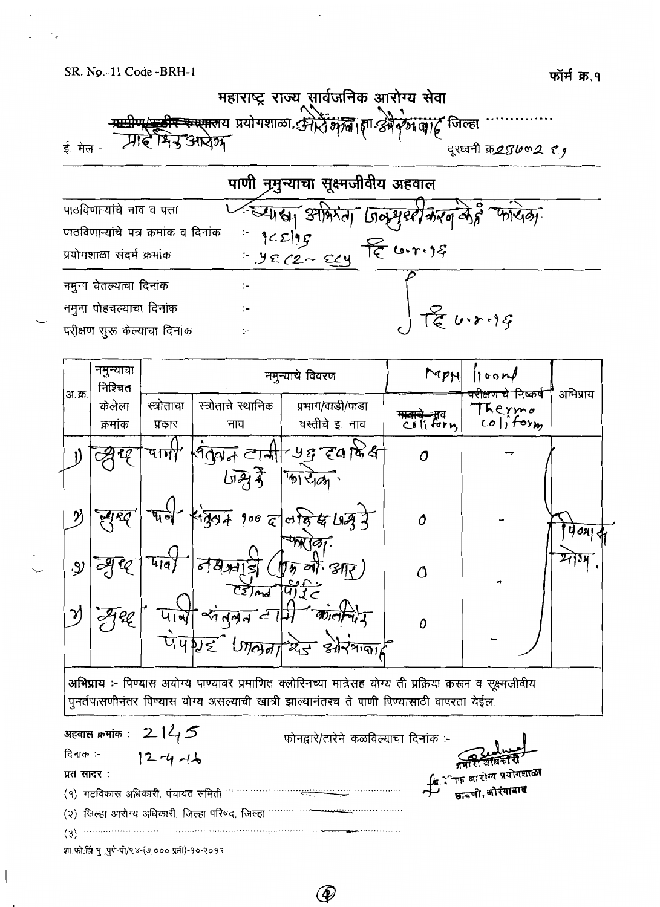

|                                      | पाणी नृमुन्याचा सूक्ष्मजीवीय अहवाल |                                                               |
|--------------------------------------|------------------------------------|---------------------------------------------------------------|
| पाठविणाऱ्यांचे नाव व पत्ता           |                                    | स्थाया अभिरंता जिल्सुस्टीकरण केही फरिज़ा                      |
| पाठविणाऱ्यांचे पत्र क्रमांक व दिनांक |                                    |                                                               |
| प्रयोगशाळा संदर्भ क्रमांक            | $1 - 9c$ $2 - 2y$ fe $(0.7.99)$    |                                                               |
| नमुना घेतल्याचा दिनांक               |                                    |                                                               |
| नमुना पोहचल्याचा दिनांक              |                                    | $\int \overline{\mathfrak{f}}\, \overline{\mathfrak{e}}$ urig |
| परीक्षण सुरू केल्याचा दिनांक         |                                    |                                                               |



अभिप्राय :- पिण्यास अयोग्य पाण्यावर प्रमाणित क्लोरिनच्या मात्रेसह योग्य ती प्रक्रिया करून व सूक्ष्मजीवीय पूनर्तपासणीनंतर पिण्यास योग्य असल्याची खात्री झाल्यानंतरच ते पाणी पिण्यासाठी वापरता येईल.

फोनद्वारे/तारेने कळविल्याचा दिनांक :-दिनांक :- $12 - 4 - 16$ प्रत सादर: (१) गटविकास अधिकारी, पंचायत समिती (२) जिल्हा आरोग्य अधिकारी, जिल्हा परिषद, जिल्हा ………….  $\begin{minipage}{0.5\textwidth} \begin{tabular}{|c|c|c|} \hline \multicolumn{1}{|c|}{p} & \multicolumn{1}{|c|}{p} & \multicolumn{1}{|c|}{p} & \multicolumn{1}{|c|}{p} & \multicolumn{1}{|c|}{p} & \multicolumn{1}{|c|}{p} & \multicolumn{1}{|c|}{p} & \multicolumn{1}{|c|}{p} & \multicolumn{1}{|c|}{p} & \multicolumn{1}{|c|}{p} & \multicolumn{1}{|c|}{p} & \multicolumn{1}{|c|}{p} & \multicolumn{1}{|c|}{p} & \multicolumn{1}{$  $(3)$ शा.फो.झि.मु.,पुणे-पी/९४-(७,००० प्रती)-१०-२०१२

 $\circledast$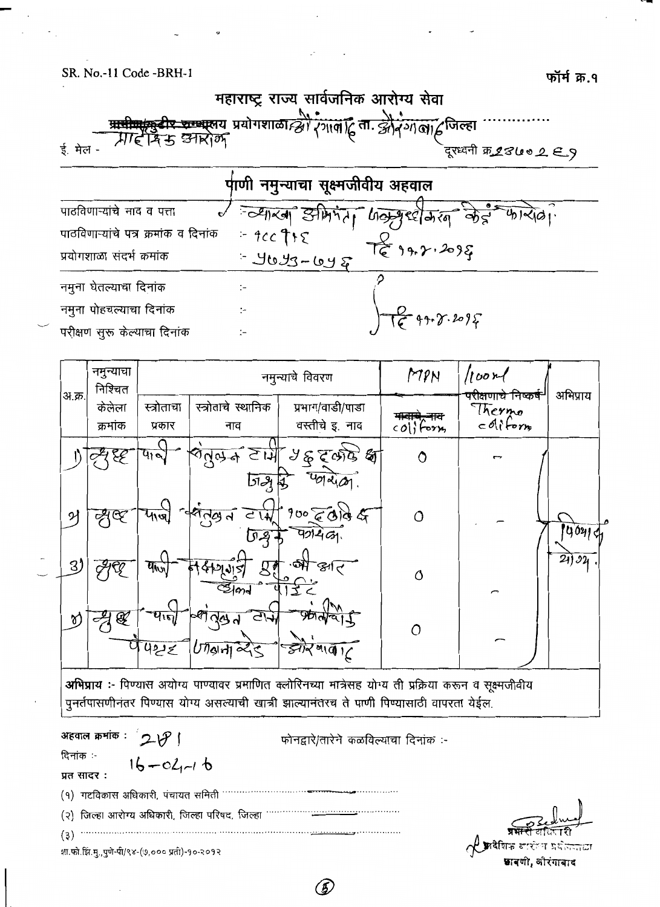महाराष्ट्र राज्य सार्वजनिक आरोग्य सेवा <del>प्रापीण/मुडीर रुण्णा</del>लय प्रयोगशाळा*न्द्रो*।<br>- *प्रा*न्दीर्न म् उनारोक् रंगालाटुं ता. झौरगालाटुजिल्हा ई. मेल -दूरध्वनी क्र*28७० 2 E\_* 9 पाणी नमुन्याचा सूक्ष्मजीवीय अहवाल Julian Starity Google din 2 - 412101. पाठविणाऱ्यांचे नाव व पत्ता  $=$  9cc  $\mathcal{F}$ ts पाठविणाऱ्यांचे पत्र क्रमांक व दिनांक té 99.2.2095 3093-648 प्रयोगशाळा संदर्भ क्रमांक नमुना घेतल्याचा दिनांक  $\div$ gr.  $8.2095$ नमुना पोहचल्याचा दिनांक  $\ddot{\phantom{a}}$ परीक्षण सुरू केल्याचा दिनांक ÷,

|        | नमुन्याचा<br>निश्चित |                              |                                       | नमुन्याचे विवरण                                                                                         | MPN          | 100r                                                 | अभिप्राय |  |
|--------|----------------------|------------------------------|---------------------------------------|---------------------------------------------------------------------------------------------------------|--------------|------------------------------------------------------|----------|--|
| अ.क्र. | केलेला<br>क्रमांक    | स्त्रोताचा<br>प्रकार         | स्त्रोताचे स्थानिक<br>नाव             | प्रभाग/वाडी/पाडा<br>वस्तीचे इ. नाव                                                                      | $col$ ; form | परीक्षणाचे निष्कर् <del>ष</del><br>Thermo<br>colifom |          |  |
|        |                      | पान                          | ਣੋਂਘੋਂ<br>aपॅले <del>च</del><br>إهاتا | 96500<br>way                                                                                            | Ô            |                                                      |          |  |
| ୨      | $\infty$             |                              | 42.09d<br>$C\overline{W}$             | $900$ cald $4$                                                                                          | $\circ$      |                                                      | 19041d   |  |
| 3)     |                      | $\overline{q_{\text{h}y_1}}$ | $\mathcal{R}$<br>md                   | $\frac{1}{2}$<br>م ابچ                                                                                  | Ő            | $\sqrt{2}$                                           | 24)34    |  |
| ช      | $\mathscr{F}$        | पान<br>422                   | ≪⊺<br>$U$ <i>l</i> slot $\ll$         | झोर गाला/                                                                                               | $\Omega$     |                                                      |          |  |
|        |                      |                              |                                       | अभिप्राय :- पिण्यास अयोग्य पाण्यावर प्रमाणित क्लोरिनच्या मात्रेसह योग्य ती प्रक्रिया करून व सक्ष्मजीवीय |              |                                                      |          |  |

पुनर्तपासणीनंतर पिण्यास योग्य असल्याची खात्री झाल्यानंतरच ते पाणी पिण्यासाठी वापरता येईल.

अहवाल क्रमांक:  $20$ फोनद्वारे/तारेने कळविल्याचा दिनांक :-दिनांक :- $16 - 02 - 16$ प्रत सादर: (१) गटविकास अधिकारी, पंचायत समिती (२) जिल्हा आरोग्य अधिकारी, जिल्हा परिषद, जिल्हा  $(3)$ शा.फो.झि.मु.,पुणे-पी/९४-(७,००० प्रती)-१०-२०१२

**छा**वणी, औरंगाबाद

(5)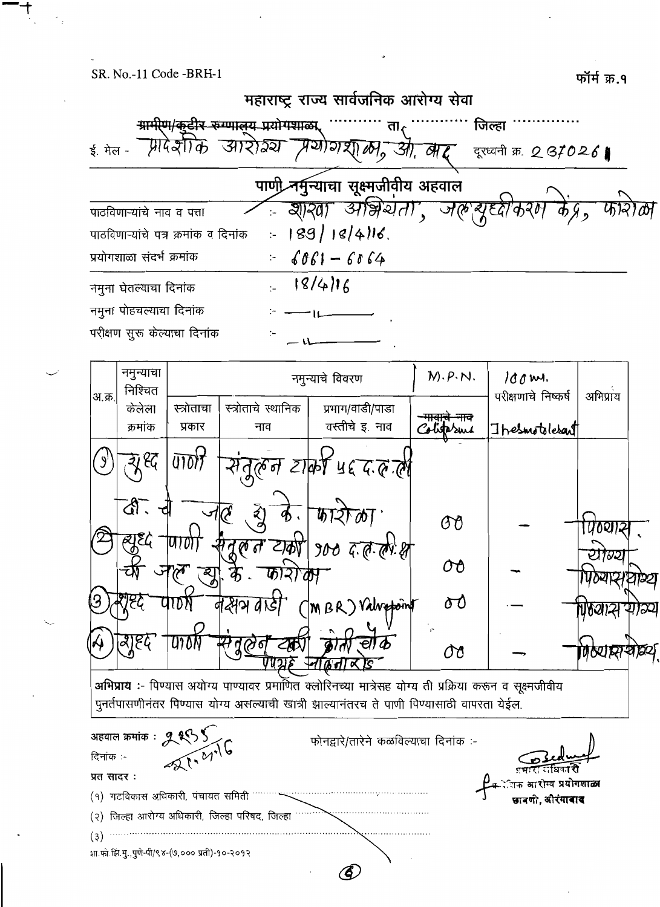

| अ.क्र.     |                        |                                                           |                                                 |                                                                                                                                                                                                       |            | पराक्षणाच निष्कष        | आभप्राय |  |
|------------|------------------------|-----------------------------------------------------------|-------------------------------------------------|-------------------------------------------------------------------------------------------------------------------------------------------------------------------------------------------------------|------------|-------------------------|---------|--|
|            | केलेला                 | स्त्रोताचा                                                | स्त्रोताचे स्थानिक                              | प्रभाग/वाडी/पाडा                                                                                                                                                                                      |            |                         |         |  |
|            | क्रमांक                | प्रकार                                                    | नाव                                             | वस्तीचे इ. नाव                                                                                                                                                                                        | liter suit | Thesmotolesant          |         |  |
|            | ९द्                    |                                                           |                                                 | रिल्न टार्की पद द.व ली                                                                                                                                                                                |            |                         |         |  |
|            | $\mathbb{Q}$ .<br>ajEG |                                                           |                                                 | $900$ $\vec{a}$ $\vec{a}$ $\vec{a}$ $\vec{b}$ $\vec{s}$                                                                                                                                               | OO         |                         | '0থ।ই   |  |
|            |                        |                                                           | চ্চাহা                                          |                                                                                                                                                                                                       | OÔ         |                         | 72      |  |
|            |                        |                                                           | ন&পপ                                            | MBR) Valvepoint                                                                                                                                                                                       | Ծ          |                         |         |  |
|            | बाद्य                  | UIDK                                                      |                                                 |                                                                                                                                                                                                       | 08         |                         | क्रियास |  |
|            |                        |                                                           |                                                 | अभिप्राय :- पिण्यास अयोग्य पाण्यावर प्रमाणित क्लोरिनच्या मात्रेसह योग्य ती प्रक्रिया करून व सूक्ष्मजीवीय<br>पुनर्तपासणीनंतर पिण्यास योग्य असल्याची खात्री झाल्यानंतरच ते पाणी पिण्यासाठी वापरता येईल. |            |                         |         |  |
|            |                        | अहवाल क्रमांक : <b>१९९५ )</b><br>दिनांक :-<br>स्रि स्थापि |                                                 | फोनद्वारे/तारेने कळविल्याचा दिनांक :-                                                                                                                                                                 |            |                         |         |  |
| प्रत सादर: |                        |                                                           |                                                 |                                                                                                                                                                                                       |            | आरोग्य प्रयोगशाळा       |         |  |
|            |                        | (१) गटविकास अधिकारी, पंचायत समिती                         |                                                 |                                                                                                                                                                                                       |            | ावणी <b>. अौरंगावाद</b> |         |  |
|            |                        |                                                           | (२) जिल्हा आरोग्य अधिकारी, जिल्हा परिषद, जिल्हा |                                                                                                                                                                                                       |            |                         |         |  |
| (3)        |                        |                                                           |                                                 |                                                                                                                                                                                                       |            |                         |         |  |

(E)

शा.फो.झि.मु.,पुणे-पी/९४-(७,००० प्रती)-१०-२०१२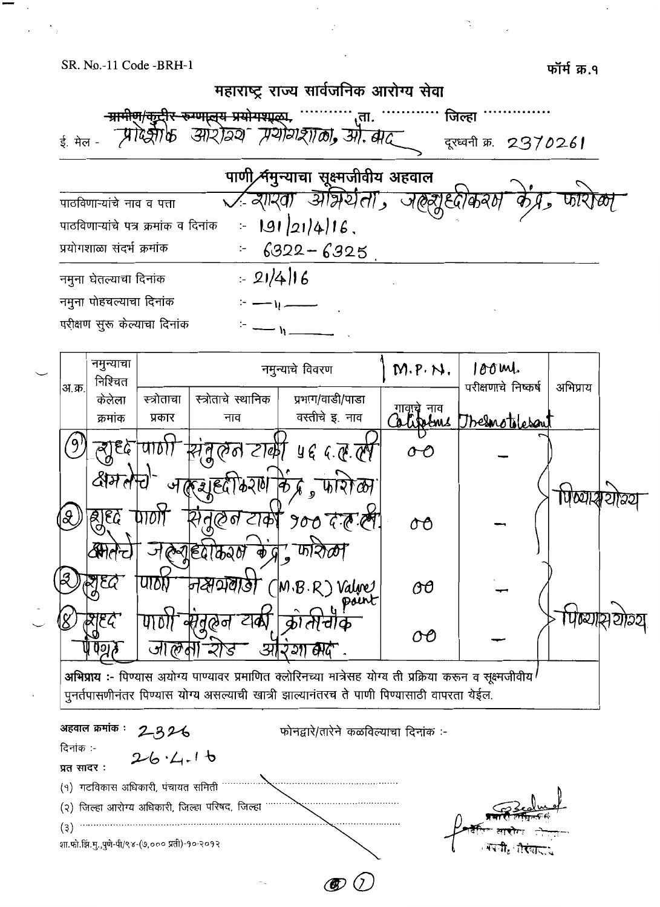फॉर्म क्र.१



 $\circledast$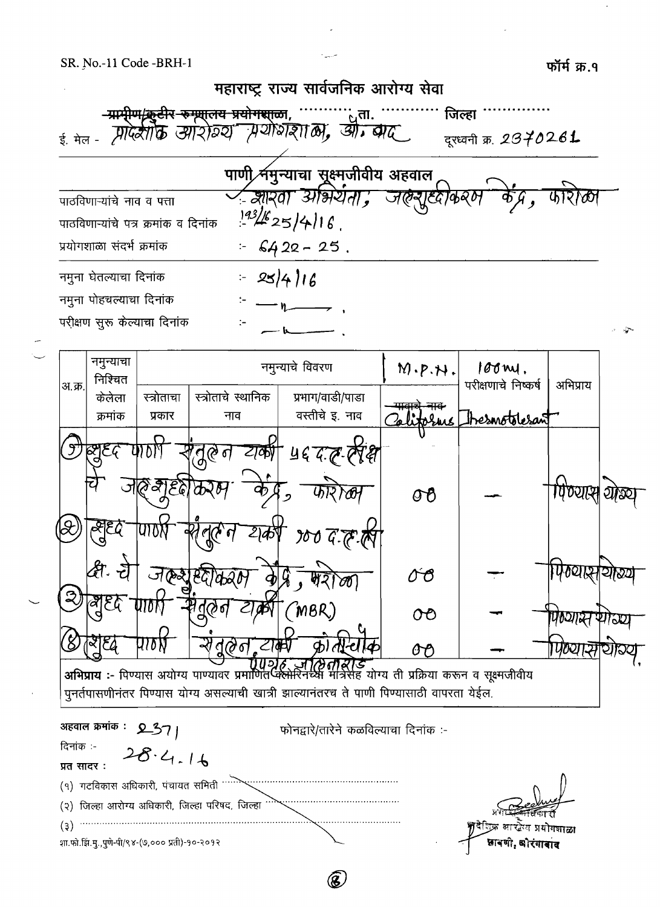फॉर्म क्र.१



B.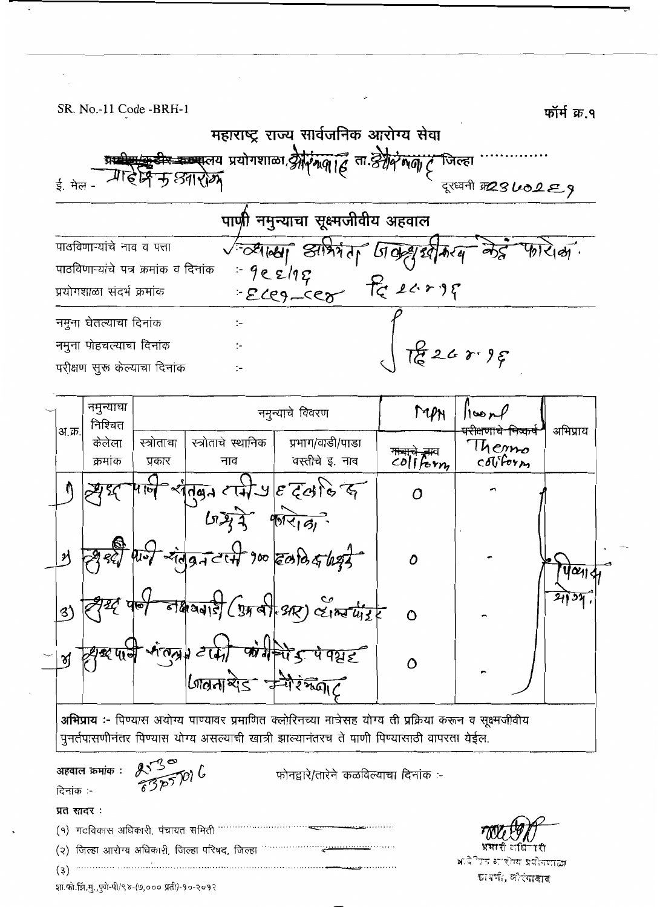फॉर्म क १

महाराष्ट्र राज्य सार्वजनिक आरोग्य सेवा <del>टीर कम्प्यू</del>लय प्रयोगशाळा, श्रीपं मपी हिं ता. श्रीपं मणी ट्र "जिल्हा क आरोग ई. मेल दरध्यनी क23LO2E9 पाणी नमुन्याचा सूक्ष्मजीवीय अहवाल पाठविणाऱ्यांचे नाव व पत्ता व्यालया आर्म्भाग जिले श्रीकरण केई  $9e^{\frac{1}{219}}$ पाठविणाऱ्यांचे पत्र क्रमांक व दिनांक  $E^{1217}$   $E^{117}$   $E^{117}$ प्रयोगशाळा संदर्भ क्रमांक नमुना घेतल्याचा दिनांक  $\ddot{\cdot}$  $\frac{1}{6}$ 26 r  $\frac{1}{6}$ नमुना पोहचल्याचा दिनांक परीक्षण सुरू केल्याचा दिनांक  $\cdot$  .

|                            | नमुन्याचा<br>निश्चित |                      |                                     | नमुन्याचे विवरण                                                     | MPH      | 100r                                                           | अभिप्राय       |  |
|----------------------------|----------------------|----------------------|-------------------------------------|---------------------------------------------------------------------|----------|----------------------------------------------------------------|----------------|--|
| अ.क्र.                     | केलेला<br>क्रमांक    | स्त्रोताचा<br>प्रकार | स्त्रोताचे स्थानिक<br>नाव           | प्रभाग/वाडी/पाडा<br>वस्तीचे इ. नाव                                  | coliform | <del>परीक्षणाचे निष्कष</del><br>Themo<br>$c$ <i>O</i> $v$ form |                |  |
|                            |                      | णि                   |                                     | $\int \frac{1}{\sqrt{4\pi}} \exp\left\{-\frac{1}{4}\pi\right\}$     |          |                                                                |                |  |
| $\boldsymbol{\mathcal{Y}}$ |                      |                      | $41 - 7$ = $7 - 17$ 900 2010 5 1292 |                                                                     | Ô        |                                                                | $J\alpha_{11}$ |  |
| 8)                         |                      |                      |                                     | $\frac{1}{\sqrt{2\pi}}\int (y_1 + 2xy)$ $\frac{1}{\sqrt{2\pi}}\int$ | $\Omega$ |                                                                |                |  |
| ช                          |                      |                      |                                     | y was digited with the state                                        | ∩        |                                                                |                |  |

अभिप्राय :- पिण्यास अयोग्य पाण्यावर प्रमाणित क्लोरिनच्या मात्रेसह योग्य ती प्रक्रिया करून व सूक्ष्मजीवीय पुनर्तपासणीनंतर पिण्यास योग्य असल्याची खात्री झाल्यानंतरच ते पाणी पिण्यासाठी वापरता येईल.

अहवाल क्रमांक : दिनांक :-

 $253006$ 

फोनद्वारे/तारेने कळविल्याचा दिनांक :-

प्रत सादर:

 $(3)$ 

 $(9)$  गटविकास अधिकारी, पंचायत समिती ……………… 

रोग्य प्रयोगपाठा छावणी, लौरंगाबाद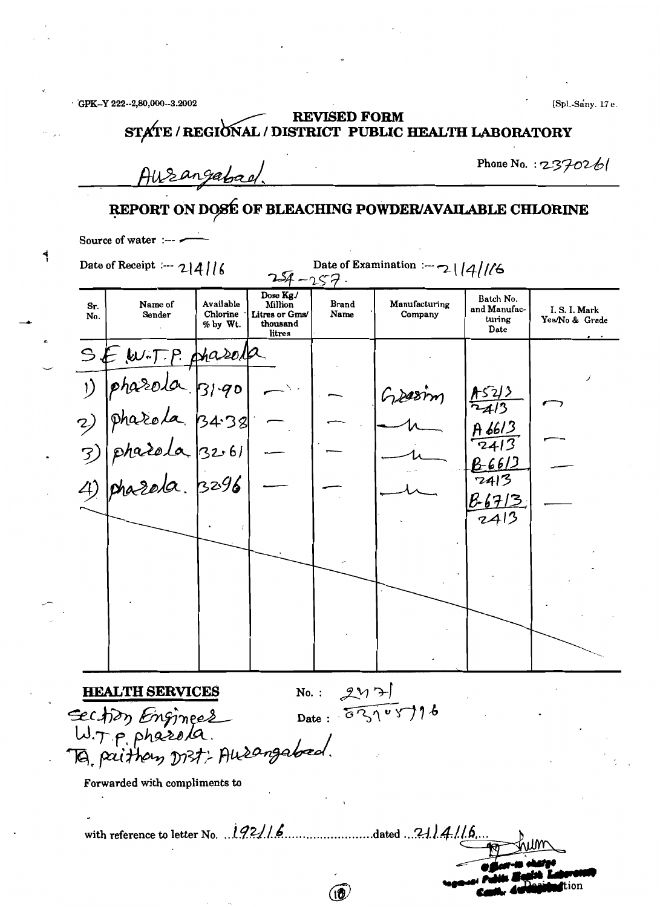GPK-Y 222-2.80,000-3.2002

[Spl.-Sany. 17 e.

### **REVISED FORM** STATE / REGIONAL / DISTRICT PUBLIC HEALTH LABORATORY

Ausangabad.

Phone No. :  $2370261$ 

# REPORT ON DOSÉ OF BLEACHING POWDER/AVAILABLE CHLORINE

Source of water :---

ابه

Date of Examination :--- 2 |  $\left(4\right)/6$ Date of Receipt :---  $2|4|16$ Dose Kg. Batch No. Name of Available **Brand** Manufacturing Sr. and Manufac-I.S.I. Mark No. Sender Chlorine Litres or Gms/ Name Company turing Yes/No & Grade % by Wt. thousand Date litres hasel  $\mathcal{L}$ Greetin  $32.6$  $\overline{3}$ ىرا 6 ك .<br>3296  $7413$ R-6713  $2413$  $2y7$ **HEALTH SERVICES**  $No.$ : Date:  $53105776$ Section Engineer To paithon Dist: Ausangabed. Forwarded with compliments to with reference to letter No.  $192/16$  .....................dated ... 21.14.116.  $\widehat{10}$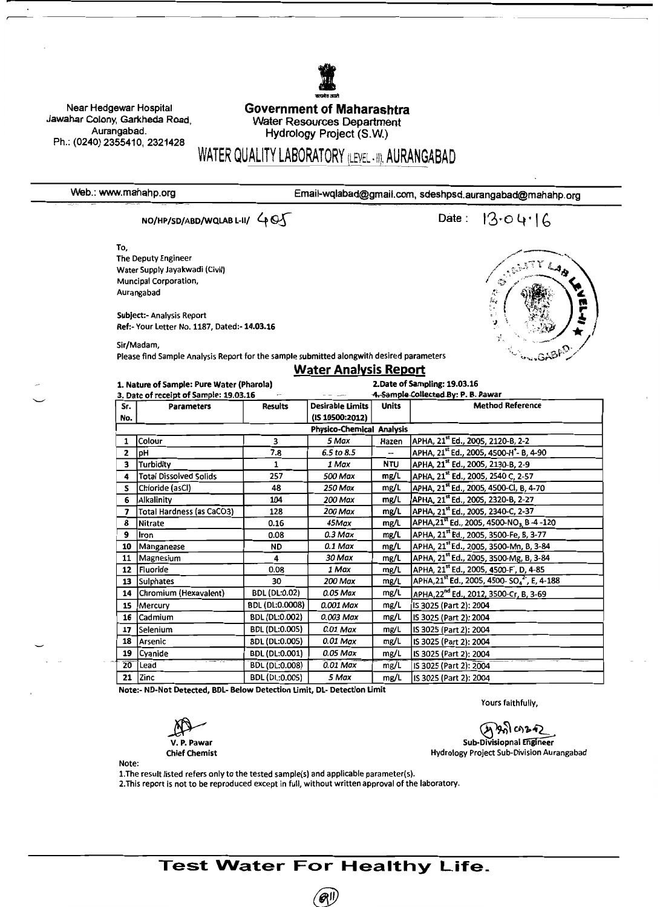Near Hedgewar Hospital Jawahar Colony, Garkheda Road, Aurangabad. Ph.: (0240) 2355410, 2321428

#### **Government of Maharashtra** Water Resources Department Hydrology Project (S.W.)

# WATER QUALITY LABORATORY (LEVEL - II), AURANGABAD

Web.: www.mahahp.org

Email-wqlabad@gmail.com, sdeshpsd.aurangabad@mahahp.org

NO/HP/SD/ABD/WQLAB L-II/ 405

Date:  $13.04.16$ 

> $\mathcal{L}$  $\label{eq:zeta} \begin{array}{l} \mathcal{L}_{\mathcal{A}}^{\mathcal{A}}(\mathcal{R},\mathcal{Z})\\ \mathcal{L}_{\mathcal{A}}^{\mathcal{B}}(\mathcal{Z}) \end{array}$

Y LAD

To, The Deputy Engineer Water Supply Jayakwadi (Civil) Muncipal Corporation, Aurangabad

**Subject:- Analysis Report** Ref:- Your Letter No. 1187, Dated:- 14.03.16

Sir/Madam,

Please find Sample Analysis Report for the sample submitted alongwith desired parameters

# **Water Analysis Report**

|                 | 1. Nature of Sample: Pure Water (Pharola)<br>3. Date of receipt of Sample: 19.03.16 |                       | 2. Date of Sampling: 19.03.16<br>4. Sample Collected By: P. B. Pawar |              |                                                                                 |  |  |
|-----------------|-------------------------------------------------------------------------------------|-----------------------|----------------------------------------------------------------------|--------------|---------------------------------------------------------------------------------|--|--|
| Sr.             | <b>Parameters</b>                                                                   | <b>Results</b>        | Desirable Limits                                                     | <b>Units</b> | <b>Method Reference</b>                                                         |  |  |
| No.             |                                                                                     |                       | (IS 10500:2012)                                                      |              |                                                                                 |  |  |
|                 |                                                                                     |                       | <b>Physico-Chemical Analysis</b>                                     |              |                                                                                 |  |  |
| 1               | Colour                                                                              | 3                     | 5 Max                                                                | Hazen        | APHA, 21st Ed., 2005, 2120-B, 2-2                                               |  |  |
| $\mathbf{2}$    | pH                                                                                  | 7.8                   | 6.5 to 8.5                                                           | --           | APHA, 21 <sup>st</sup> Ed., 2005, 4500-H <sup>+</sup> - B, 4-90                 |  |  |
| 3               | Turbidity                                                                           | 1                     | 1 Max                                                                | <b>NTU</b>   | APHA, 21 <sup>st</sup> Ed., 2005, 2130-B, 2-9                                   |  |  |
| 4               | <b>Total Dissolved Solids</b>                                                       | 257                   | 500 Max                                                              | mg/L         | APHA, 21 <sup>st</sup> Ed., 2005, 2540 C, 2-57                                  |  |  |
| s               | Chloride (asCl)                                                                     | 48                    | 250 Max                                                              | mg/L         | APHA, 21 <sup>st</sup> Ed., 2005, 4500-Cl, B, 4-70                              |  |  |
| 6               | Alkalinity                                                                          | 104                   | 200 Max                                                              | mg/L         | APHA, 21st Ed., 2005, 2320-B, 2-27                                              |  |  |
| 7               | <b>Total Hardness (as CaCO3)</b>                                                    | 128                   | 200 Max                                                              | mg/L         | APHA, 21st Ed., 2005, 2340-C, 2-37                                              |  |  |
| 8               | Nitrate                                                                             | 0.16                  | 45Max                                                                | mg/L         | APHA, 21 <sup>st</sup> Ed., 2005, 4500-NO <sub>3,</sub> B-4-120                 |  |  |
| 9               | Iron                                                                                | 0.08                  | $0.3$ Max                                                            | mg/L         | APHA, 21st Ed., 2005, 3500-Fe, B, 3-77                                          |  |  |
| 10              | Manganease                                                                          | <b>ND</b>             | $0.1$ Max                                                            | mg/L         | APHA, 21 <sup>st</sup> Ed., 2005, 3500-Mn, B, 3-84                              |  |  |
| 11              | Magnesium                                                                           | 4                     | 30 Max                                                               | mg/L         | APHA, 21 <sup>st</sup> Ed., 2005, 3500-Mg, B, 3-84                              |  |  |
| 12              | Fluoride                                                                            | 0.08                  | 1 Max                                                                | mg/L         | APHA, 21 <sup>st</sup> Ed., 2005, 4500-F <sup>'</sup> , D, 4-85                 |  |  |
| 13              | <b>Sulphates</b>                                                                    | 30                    | 200 Max                                                              | mg/L         | APHA, 21 <sup>st</sup> Ed., 2005, 4500- SO <sub>4</sub> <sup>2</sup> , E, 4-188 |  |  |
| 14              | Chromium (Hexavalent)                                                               | <b>BDL (DL:0.02)</b>  | 0.05 Max                                                             | mg/L         | APHA, 22 <sup>nd</sup> Ed., 2012, 3500-Cr, B, 3-69                              |  |  |
| 15              | Mercury                                                                             | BDL (DL:0.0008)       | 0.001 Max                                                            | mg/L         | IS 3025 (Part 2): 2004                                                          |  |  |
| 16              | Cadmium                                                                             | BDL (DL:0.002)        | 0.003 Max                                                            | mg/L         | IS 3025 (Part 2): 2004                                                          |  |  |
| 17              | Selenium                                                                            | <b>BDL (DL:0.005)</b> | 0.01 Max                                                             | mg/L         | IS 3025 (Part 2): 2004                                                          |  |  |
| 18              | Arsenic                                                                             | BDL (DL:0.005)        | 0.01 Max                                                             | mg/L         | IS 3025 (Part 2): 2004                                                          |  |  |
| 19              | <b>Cyanide</b>                                                                      | <b>BDL (DL:0.001)</b> | 0.05 Max                                                             | mg/L         | IS 3025 (Part 2): 2004                                                          |  |  |
| $\overline{20}$ | Lead                                                                                | <b>BDL (DL:0.008)</b> | 0.01 Max                                                             | mg/L         | IS 3025 (Part 2): 2004                                                          |  |  |
| 21              | Zinc                                                                                | BDL (DL:0.005)        | 5 Max                                                                | mg/L         | IS 3025 (Part 2): 2004                                                          |  |  |

Note:- ND-Not Detected, BDL- Below Detection Limit, DL- Detection Limit

Yours faithfully,

**V. P. Pawar Chief Chemist** 

<u>አንነ</u> ርሳይ ዋ2 Sub-Divisiopnal Engineer Hydrology Project Sub-Division Aurangabad

Note:

1. The result listed refers only to the tested sample(s) and applicable parameter(s).

2. This report is not to be reproduced except in full, without written approval of the laboratory.

**Test Water For Healthy Life.** 

**AII**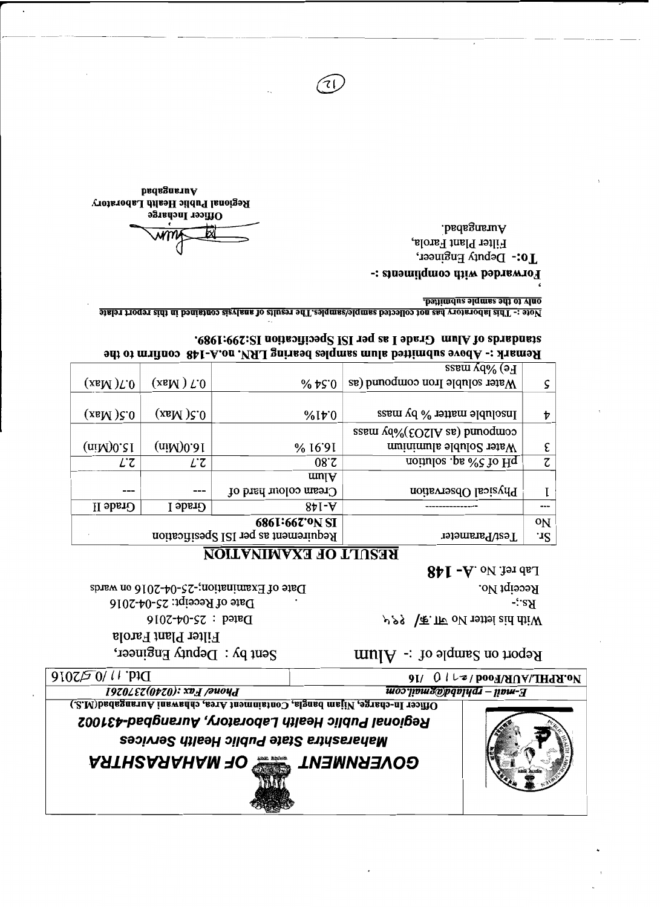



 $9I/ 0 l \rightarrow$  /  $po$  /  $p$  /  $p$  /  $p$  /  $p$  /  $p$  /  $p$  /  $p$ 

Regional Public Health Laboratory, Aurangbad-431002

1970*LE7(0770): xv<sub>H</sub> puoyd* E-mail – rphlabd@gmail.com Officer In-charge, Nijam bangla, Containment Area, chhawani Aurangabad(R.S.)

 $Df4'$  /  $Df5019$ 

Report on Sample of  $\therefore$  Alum

Date of Examination;-25-04-2016 on wards Date of Receipt:  $25-04-2016$ Dated: 25-04-2016 Filter Plant Farola Sent by : Deputy Engineer,

Lab ref. No.  $A$ - 148 Receipt No.  $F^2$ : y 23 \ 不 IF oN rothal aid diw

### RESULT OF EXAMINATION

| $\mathbf{M}$ of matters $\mathbf{M}$ for $\mathbf{M}$ for $\mathbf{M}$ and $\mathbf{M}$ and $\mathbf{M}$ for means $\mathbf{M}$ and $\mathbf{M}$ are $\mathbf{M}$ |                                          |                                      |                                   |                            |  |  |  |  |
|-------------------------------------------------------------------------------------------------------------------------------------------------------------------|------------------------------------------|--------------------------------------|-----------------------------------|----------------------------|--|--|--|--|
|                                                                                                                                                                   | Fe) %by mass                             |                                      |                                   |                            |  |  |  |  |
|                                                                                                                                                                   | Water soluble Iron compound (as          | $%$ ts 0                             | $(x \in M)$ $\Gamma$ <sub>0</sub> | $(x \in M) \mathcal{L}$ .0 |  |  |  |  |
| Þ                                                                                                                                                                 | Insoluble matter $\%$ by mass            | $%1*0$                               | $(x \in M)$ $\zeta$ . 0           | $(x8M)$ $\zeta$ .0         |  |  |  |  |
|                                                                                                                                                                   | $s$ sem $\sqrt{4\%}$ (EOSIA se) bunoqmoo |                                      |                                   |                            |  |  |  |  |
| E                                                                                                                                                                 | Water Soluble aluminium                  | % 16'91                              | (niM)0.81                         | $(niM)0.$ 31               |  |  |  |  |
| τ                                                                                                                                                                 | noitulos .ps <i>o</i> c to Hq            | 08 <sub>c</sub>                      | ĽΖ                                | ĽΖ                         |  |  |  |  |
|                                                                                                                                                                   |                                          | $mu$ <sub><math>N</math></sub>       |                                   |                            |  |  |  |  |
|                                                                                                                                                                   | Physical Observation                     | Cream colour hard of                 | ---                               |                            |  |  |  |  |
| ---                                                                                                                                                               |                                          | $8bI-A$                              | Grade I                           | <b>Grade</b> II            |  |  |  |  |
| 0 <sub>N</sub>                                                                                                                                                    |                                          | 6861:667'0N SI                       |                                   |                            |  |  |  |  |
| $\mathbf{F}$                                                                                                                                                      | Test/Parameter                           | Requirement as per ISI Spesification |                                   |                            |  |  |  |  |

.0801:002:21 notisoftionq 2 per ISI spetfication IS:2991. MENINIE :- WOOAS 2001 THE BINID SUNDER OCH IN THAT TO'LET TO COUIL IN ON THE ORDER

only to the sample submitted. Note :- This laboratory has not collected sample/samples. The results of analysis contained in this report relate

 $71$ 

Forwarded with compliments :-

.badagnau<sub>A</sub> Filter Plant Farola,  $I$ 0:- Debuty Engineer,

Officer Incharge

badagneruA Regional Public Health Laboratory